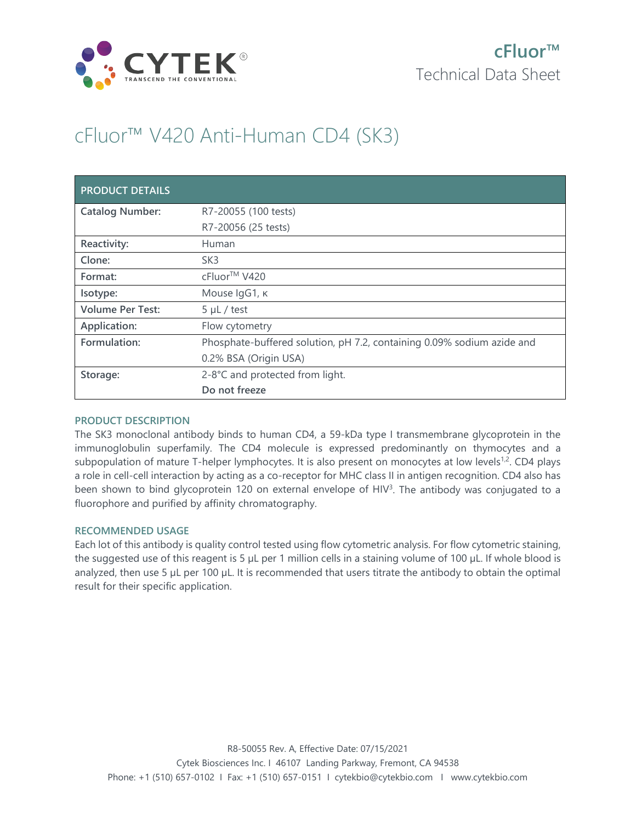

# cFluor™ V420 Anti-Human CD4 (SK3)

| <b>PRODUCT DETAILS</b>  |                                                                        |
|-------------------------|------------------------------------------------------------------------|
| <b>Catalog Number:</b>  | R7-20055 (100 tests)                                                   |
|                         | R7-20056 (25 tests)                                                    |
| Reactivity:             | Human                                                                  |
| Clone:                  | SK <sub>3</sub>                                                        |
| Format:                 | cFluor <sup>™</sup> V420                                               |
| Isotype:                | Mouse IgG1, к                                                          |
| <b>Volume Per Test:</b> | $5 \mu L$ / test                                                       |
| Application:            | Flow cytometry                                                         |
| Formulation:            | Phosphate-buffered solution, pH 7.2, containing 0.09% sodium azide and |
|                         | 0.2% BSA (Origin USA)                                                  |
| Storage:                | 2-8°C and protected from light.                                        |
|                         | Do not freeze                                                          |

## **PRODUCT DESCRIPTION**

The SK3 monoclonal antibody binds to human CD4, a 59-kDa type I transmembrane glycoprotein in the immunoglobulin superfamily. The CD4 molecule is expressed predominantly on thymocytes and a subpopulation of mature T-helper lymphocytes. It is also present on monocytes at low levels<sup>1,2</sup>. CD4 plays a role in cell-cell interaction by acting as a co-receptor for MHC class II in antigen recognition. CD4 also has been shown to bind glycoprotein 120 on external envelope of HIV<sup>3</sup>. The antibody was conjugated to a fluorophore and purified by affinity chromatography.

## **RECOMMENDED USAGE**

Each lot of this antibody is quality control tested using flow cytometric analysis. For flow cytometric staining, the suggested use of this reagent is 5 µL per 1 million cells in a staining volume of 100 µL. If whole blood is analyzed, then use 5 µL per 100 µL. It is recommended that users titrate the antibody to obtain the optimal result for their specific application.